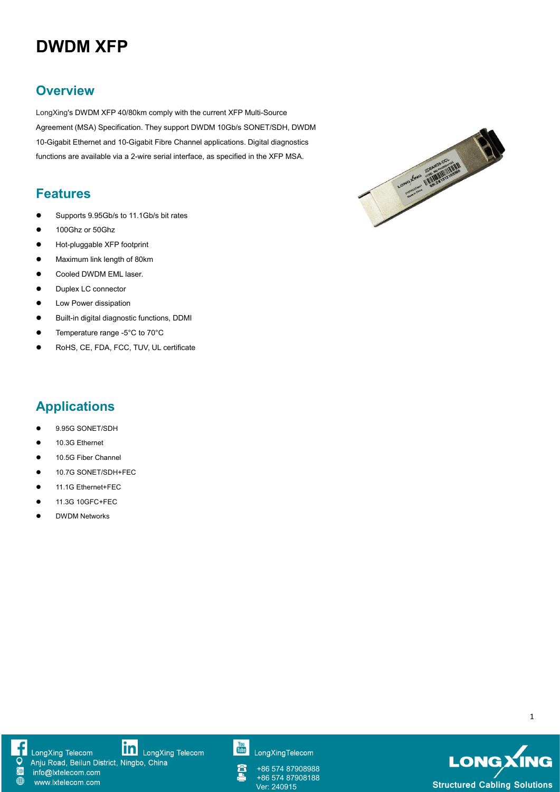# **DWDM XFP**

### **Overview**

LongXing's DWDM XFP 40/80km comply with the current XFP Multi-Source 10-Gigabit Ethernet and 10-Gigabit Fibre Channel applications. Digital diagnostics functions are available via a 2-wire serial interface, as specified in the XFP MSA.

#### **Features**

- Supports 9.95Gb/s to 11.1Gb/s bit rates
- **100Ghz or 50Ghz**
- Hot-pluggable XFP footprint
- **•** Maximum link length of 80km
- **•** Cooled DWDM EML laser.
- Duplex LC connector
- **•** Low Power dissipation
- Built-in digital diagnostic functions, DDMI
- Temperature range -5°C to 70°C
- RoHS, CE, FDA, FCC, TUV, UL certificate



# **Applications**

- 9.95G SONET/SDH
- 10.3G Ethernet
- 10.5G Fiber Channel
- 10.7G SONET/SDH+FEC
- 11.1G Ethernet+FEC
- 11.3G 10GFC+FEC
- **• DWDM Networks**

1



LongXing Telecom Anju Road, Beilun District, Ningbo, China info@lxtelecom.com

www.lxtelecom.com

**In** LongXing Telecom

You<br>Tube LongXingTelecom

+86 574 87908988 +86 574 87908188<br>Ver: 240915

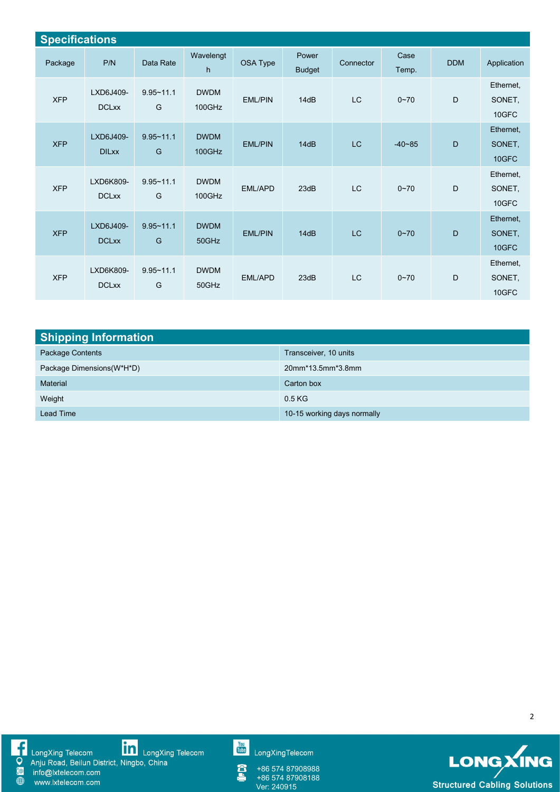| <b>Specifications</b> |                           |                    |                       |                |                        |           |               |            |                              |  |
|-----------------------|---------------------------|--------------------|-----------------------|----------------|------------------------|-----------|---------------|------------|------------------------------|--|
| Package               | P/N                       | Data Rate          | Wavelengt<br>h.       | OSA Type       | Power<br><b>Budget</b> | Connector | Case<br>Temp. | <b>DDM</b> | Application                  |  |
| <b>XFP</b>            | LXD6J409-<br><b>DCLxx</b> | $9.95 - 11.1$<br>G | <b>DWDM</b><br>100GHz | <b>EML/PIN</b> | 14dB                   | LC        | $0 - 70$      | D          | Ethernet,<br>SONET,<br>10GFC |  |
| <b>XFP</b>            | LXD6J409-<br><b>DILxx</b> | $9.95 - 11.1$<br>G | <b>DWDM</b><br>100GHz | <b>EML/PIN</b> | 14dB                   | LC        | $-40 - 85$    | D          | Ethernet,<br>SONET,<br>10GFC |  |
| <b>XFP</b>            | LXD6K809-<br><b>DCLxx</b> | $9.95 - 11.1$<br>G | <b>DWDM</b><br>100GHz | EML/APD        | 23dB                   | LC        | $0 - 70$      | D          | Ethernet,<br>SONET,<br>10GFC |  |
| <b>XFP</b>            | LXD6J409-<br><b>DCLxx</b> | $9.95 - 11.1$<br>G | <b>DWDM</b><br>50GHz  | <b>EML/PIN</b> | 14dB                   | LC        | $0 - 70$      | D          | Ethernet,<br>SONET,<br>10GFC |  |
| <b>XFP</b>            | LXD6K809-<br><b>DCLxx</b> | $9.95 - 11.1$<br>G | <b>DWDM</b><br>50GHz  | EML/APD        | 23dB                   | LC        | $0 - 70$      | D          | Ethernet,<br>SONET,<br>10GFC |  |

| <b>Shipping Information</b> |                             |  |  |  |  |  |
|-----------------------------|-----------------------------|--|--|--|--|--|
| Package Contents            | Transceiver, 10 units       |  |  |  |  |  |
| Package Dimensions (W*H*D)  | 20mm*13.5mm*3.8mm           |  |  |  |  |  |
| Material                    | Carton box                  |  |  |  |  |  |
| Weight                      | 0.5 <sub>KG</sub>           |  |  |  |  |  |
| <b>Lead Time</b>            | 10-15 working days normally |  |  |  |  |  |

■ LongXing Telecom<br>
● Anju Road, Beilun District, Ningbo, China<br>
● www.lxtelecom.com<br>
● www.lxtelecom.com

You<br>Tube LongXingTelecom

Â +86 574 87908988 +86 574 87908188



2